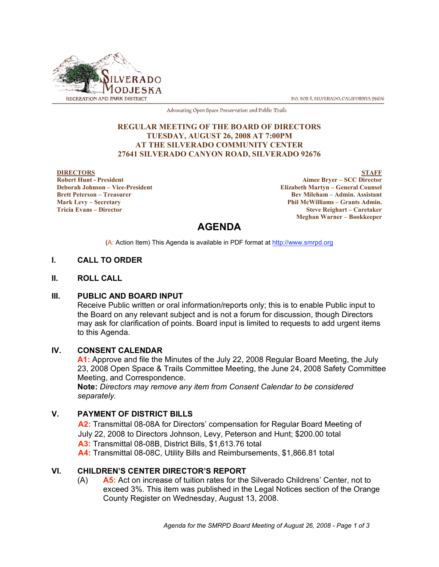

P.O. BOX 8, SILVERADO, CALIFORNIA 92676

Advocating Open Space Preservation and Public Trails

#### **REGULAR MEETING OF THE BOARD OF DIRECTORS TUESDAY, AUGUST 26, 2008 AT 7:00PM AT THE SILVERADO COMMUNITY CENTER 27641 SILVERADO CANYON ROAD, SILVERADO 92676**

#### **DIRECTORS Robert Hunt - President Deborah Johnson – Vice-President Brett Peterson – Treasurer Mark Levy – Secretary**

**Tricia Evans – Director**

**STAFF Aimee Bryer – SCC Director Elizabeth Martyn – General Counsel Bev Mileham – Admin. Assistant Phil McWilliams – Grants Admin. Steve Reighart – Caretaker Meghan Warner – Bookkeeper**

# **AGENDA**

(A: Action Item) This Agenda is available in PDF format at http://www.smrpd.org

# **I. CALL TO ORDER**

#### **II. ROLL CALL**

#### **III. PUBLIC AND BOARD INPUT**

Receive Public written or oral information/reports only; this is to enable Public input to the Board on any relevant subject and is not a forum for discussion, though Directors may ask for clarification of points. Board input is limited to requests to add urgent items to this Agenda.

# **IV. CONSENT CALENDAR**

**A1:** Approve and file the Minutes of the July 22, 2008 Regular Board Meeting, the July 23, 2008 Open Space & Trails Committee Meeting, the June 24, 2008 Safety Committee Meeting, and Correspondence.

**Note:** *Directors may remove any item from Consent Calendar to be considered separately.*

# **V. PAYMENT OF DISTRICT BILLS**

**A2:** Transmittal 08-08A for Directors' compensation for Regular Board Meeting of July 22, 2008 to Directors Johnson, Levy, Peterson and Hunt; \$200.00 total **A3:** Transmittal 08-08B, District Bills, \$1,613.76 total **A4:** Transmittal 08-08C, Utility Bills and Reimbursements, \$1,866.81 total

# **VI. CHILDREN'S CENTER DIRECTOR'S REPORT**

(A) **A5:** Act on increase of tuition rates for the Silverado Childrens' Center, not to exceed 3%. This item was published in the Legal Notices section of the Orange County Register on Wednesday, August 13, 2008.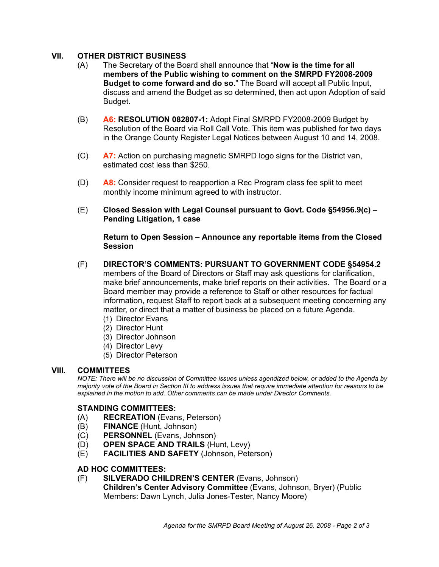# **VII. OTHER DISTRICT BUSINESS**

- (A) The Secretary of the Board shall announce that "**Now is the time for all members of the Public wishing to comment on the SMRPD FY2008-2009 Budget to come forward and do so.**" The Board will accept all Public Input, discuss and amend the Budget as so determined, then act upon Adoption of said Budget.
- (B) **A6: RESOLUTION 082807-1:** Adopt Final SMRPD FY2008-2009 Budget by Resolution of the Board via Roll Call Vote. This item was published for two days in the Orange County Register Legal Notices between August 10 and 14, 2008.
- (C) **A7:** Action on purchasing magnetic SMRPD logo signs for the District van, estimated cost less than \$250.
- (D) **A8:** Consider request to reapportion a Rec Program class fee split to meet monthly income minimum agreed to with instructor.
- (E) **Closed Session with Legal Counsel pursuant to Govt. Code §54956.9(c) – Pending Litigation, 1 case**

#### **Return to Open Session – Announce any reportable items from the Closed Session**

- (F) **DIRECTOR'S COMMENTS: PURSUANT TO GOVERNMENT CODE §54954.2** members of the Board of Directors or Staff may ask questions for clarification, make brief announcements, make brief reports on their activities. The Board or a Board member may provide a reference to Staff or other resources for factual information, request Staff to report back at a subsequent meeting concerning any matter, or direct that a matter of business be placed on a future Agenda.
	- (1) Director Evans
	- (2) Director Hunt
	- (3) Director Johnson
	- (4) Director Levy
	- (5) Director Peterson

# **VIII. COMMITTEES**

*NOTE: There will be no discussion of Committee issues unless agendized below, or added to the Agenda by majority vote of the Board in Section III to address issues that require immediate attention for reasons to be explained in the motion to add. Other comments can be made under Director Comments.*

#### **STANDING COMMITTEES:**

- (A) **RECREATION** (Evans, Peterson)
- (B) **FINANCE** (Hunt, Johnson)
- (C) **PERSONNEL** (Evans, Johnson)
- (D) **OPEN SPACE AND TRAILS** (Hunt, Levy)
- (E) **FACILITIES AND SAFETY** (Johnson, Peterson)

#### **AD HOC COMMITTEES:**

(F) **SILVERADO CHILDREN'S CENTER** (Evans, Johnson) **Children's Center Advisory Committee** (Evans, Johnson, Bryer) (Public Members: Dawn Lynch, Julia Jones-Tester, Nancy Moore)